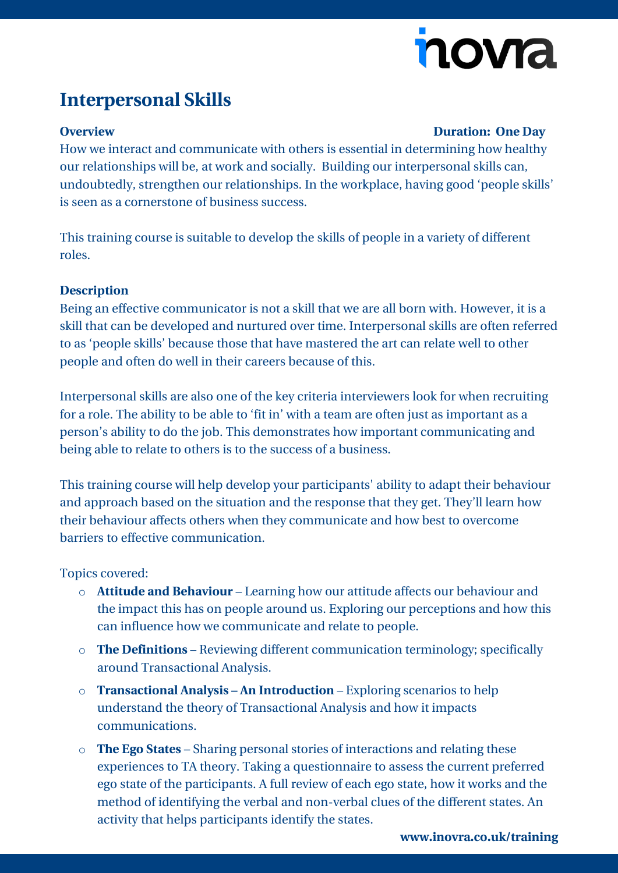# novia

## **Interpersonal Skills**

#### **Overview Duration: One Day**

How we interact and communicate with others is essential in determining how healthy our relationships will be, at work and socially. Building our interpersonal skills can, undoubtedly, strengthen our relationships. In the workplace, having good 'people skills' is seen as a cornerstone of business success.

This training course is suitable to develop the skills of people in a variety of different roles.

### **Description**

Being an effective communicator is not a skill that we are all born with. However, it is a skill that can be developed and nurtured over time. Interpersonal skills are often referred to as 'people skills' because those that have mastered the art can relate well to other people and often do well in their careers because of this.

Interpersonal skills are also one of the key criteria interviewers look for when recruiting for a role. The ability to be able to 'fit in' with a team are often just as important as a person's ability to do the job. This demonstrates how important communicating and being able to relate to others is to the success of a business.

This training course will help develop your participants' ability to adapt their behaviour and approach based on the situation and the response that they get. They'll learn how their behaviour affects others when they communicate and how best to overcome barriers to effective communication.

Topics covered:

- o **Attitude and Behaviour** Learning how our attitude affects our behaviour and the impact this has on people around us. Exploring our perceptions and how this can influence how we communicate and relate to people.
- o **The Definitions** Reviewing different communication terminology; specifically around Transactional Analysis.
- o **Transactional Analysis – An Introduction** Exploring scenarios to help understand the theory of Transactional Analysis and how it impacts communications.
- o **The Ego States** Sharing personal stories of interactions and relating these experiences to TA theory. Taking a questionnaire to assess the current preferred ego state of the participants. A full review of each ego state, how it works and the method of identifying the verbal and non-verbal clues of the different states. An activity that helps participants identify the states.

**[www.inovra.co.uk/training](http://www.inovra.co.uk/training)**